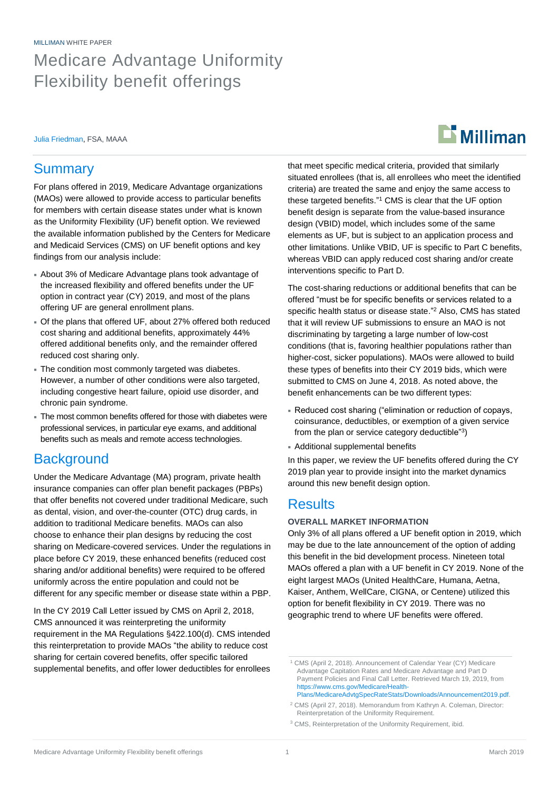MILLIMAN WHITE PAPER

## Medicare Advantage Uniformity Flexibility benefit offerings

Julia Friedman, FSA, MAAA

# $\mathbf{L}$  Milliman

## **Summary**

For plans offered in 2019, Medicare Advantage organizations (MAOs) were allowed to provide access to particular benefits for members with certain disease states under what is known as the Uniformity Flexibility (UF) benefit option. We reviewed the available information published by the Centers for Medicare and Medicaid Services (CMS) on UF benefit options and key findings from our analysis include:

- About 3% of Medicare Advantage plans took advantage of the increased flexibility and offered benefits under the UF option in contract year (CY) 2019, and most of the plans offering UF are general enrollment plans.
- Of the plans that offered UF, about 27% offered both reduced cost sharing and additional benefits, approximately 44% offered additional benefits only, and the remainder offered reduced cost sharing only.
- The condition most commonly targeted was diabetes. However, a number of other conditions were also targeted, including congestive heart failure, opioid use disorder, and chronic pain syndrome.
- The most common benefits offered for those with diabetes were professional services, in particular eye exams, and additional benefits such as meals and remote access technologies.

## **Background**

Under the Medicare Advantage (MA) program, private health insurance companies can offer plan benefit packages (PBPs) that offer benefits not covered under traditional Medicare, such as dental, vision, and over-the-counter (OTC) drug cards, in addition to traditional Medicare benefits. MAOs can also choose to enhance their plan designs by reducing the cost sharing on Medicare-covered services. Under the regulations in place before CY 2019, these enhanced benefits (reduced cost sharing and/or additional benefits) were required to be offered uniformly across the entire population and could not be different for any specific member or disease state within a PBP.

In the CY 2019 Call Letter issued by CMS on April 2, 2018, CMS announced it was reinterpreting the uniformity requirement in the MA Regulations §422.100(d). CMS intended this reinterpretation to provide MAOs "the ability to reduce cost sharing for certain covered benefits, offer specific tailored supplemental benefits, and offer lower deductibles for enrollees that meet specific medical criteria, provided that similarly situated enrollees (that is, all enrollees who meet the identified criteria) are treated the same and enjoy the same access to these targeted benefits." <sup>1</sup> CMS is clear that the UF option benefit design is separate from the value-based insurance design (VBID) model, which includes some of the same elements as UF, but is subject to an application process and other limitations. Unlike VBID, UF is specific to Part C benefits, whereas VBID can apply reduced cost sharing and/or create interventions specific to Part D.

The cost-sharing reductions or additional benefits that can be offered "must be for specific benefits or services related to a specific health status or disease state." <sup>2</sup> Also, CMS has stated that it will review UF submissions to ensure an MAO is not discriminating by targeting a large number of low-cost conditions (that is, favoring healthier populations rather than higher-cost, sicker populations). MAOs were allowed to build these types of benefits into their CY 2019 bids, which were submitted to CMS on June 4, 2018. As noted above, the benefit enhancements can be two different types:

- Reduced cost sharing ("elimination or reduction of copays, coinsurance, deductibles, or exemption of a given service from the plan or service category deductible"3)
- Additional supplemental benefits

In this paper, we review the UF benefits offered during the CY 2019 plan year to provide insight into the market dynamics around this new benefit design option.

### **Results**

#### **OVERALL MARKET INFORMATION**

Only 3% of all plans offered a UF benefit option in 2019, which may be due to the late announcement of the option of adding this benefit in the bid development process. Nineteen total MAOs offered a plan with a UF benefit in CY 2019. None of the eight largest MAOs (United HealthCare, Humana, Aetna, Kaiser, Anthem, WellCare, CIGNA, or Centene) utilized this option for benefit flexibility in CY 2019. There was no geographic trend to where UF benefits were offered.

<sup>2</sup> CMS (April 27, 2018). Memorandum from Kathryn A. Coleman, Director: Reinterpretation of the Uniformity Requirement.

<sup>3</sup> CMS, Reinterpretation of the Uniformity Requirement, ibid.

<sup>1</sup> CMS (April 2, 2018). Announcement of Calendar Year (CY) Medicare Advantage Capitation Rates and Medicare Advantage and Part D Payment Policies and Final Call Letter. Retrieved March 19, 2019, from https://www.cms.gov/Medicare/Health-Plans/MedicareAdvtgSpecRateStats/Downloads/Announcement2019.pdf.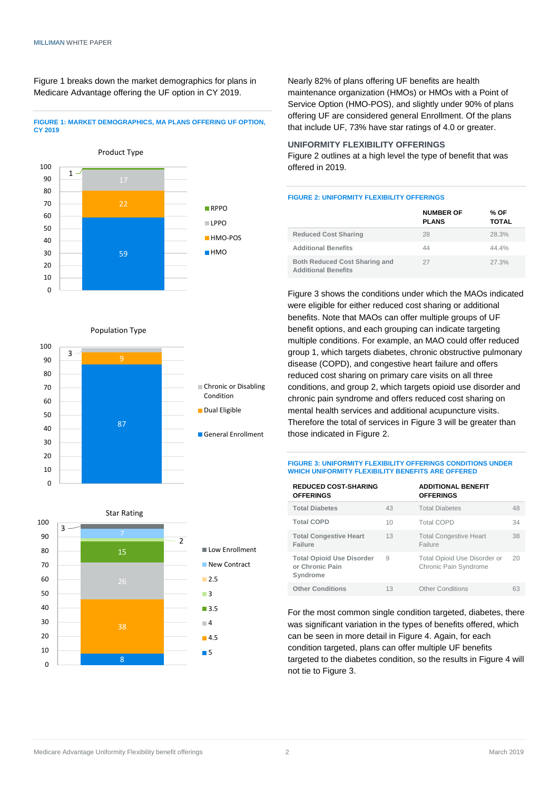Figure 1 breaks down the market demographics for plans in Medicare Advantage offering the UF option in CY 2019.

#### **FIGURE 1: MARKET DEMOGRAPHICS, MA PLANS OFFERING UF OPTION, CY 2019**



Population Type





Nearly 82% of plans offering UF benefits are health maintenance organization (HMOs) or HMOs with a Point of Service Option (HMO-POS), and slightly under 90% of plans offering UF are considered general Enrollment. Of the plans that include UF, 73% have star ratings of 4.0 or greater.

#### **UNIFORMITY FLEXIBILITY OFFERINGS**

Figure 2 outlines at a high level the type of benefit that was offered in 2019.

#### **FIGURE 2: UNIFORMITY FLEXIBILITY OFFERINGS**

|                                                                    | <b>NUMBER OF</b><br><b>PLANS</b> | % OF<br><b>TOTAL</b> |
|--------------------------------------------------------------------|----------------------------------|----------------------|
| <b>Reduced Cost Sharing</b>                                        | 28                               | 28.3%                |
| <b>Additional Benefits</b>                                         | 44                               | 44.4%                |
| <b>Both Reduced Cost Sharing and</b><br><b>Additional Benefits</b> | 27                               | 27.3%                |

Figure 3 shows the conditions under which the MAOs indicated were eligible for either reduced cost sharing or additional benefits. Note that MAOs can offer multiple groups of UF benefit options, and each grouping can indicate targeting multiple conditions. For example, an MAO could offer reduced group 1, which targets diabetes, chronic obstructive pulmonary disease (COPD), and congestive heart failure and offers reduced cost sharing on primary care visits on all three conditions, and group 2, which targets opioid use disorder and chronic pain syndrome and offers reduced cost sharing on mental health services and additional acupuncture visits. Therefore the total of services in Figure 3 will be greater than those indicated in Figure 2.

#### **FIGURE 3: UNIFORMITY FLEXIBILITY OFFERINGS CONDITIONS UNDER WHICH UNIFORMITY FLEXIBILITY BENEFITS ARE OFFERED**

| <b>REDUCED COST-SHARING</b><br><b>OFFERINGS</b>                 |    | <b>ADDITIONAL BENEFIT</b><br><b>OFFERINGS</b>         |    |
|-----------------------------------------------------------------|----|-------------------------------------------------------|----|
| <b>Total Diabetes</b>                                           | 43 | <b>Total Diabetes</b>                                 | 48 |
| <b>Total COPD</b>                                               | 10 | <b>Total COPD</b>                                     | 34 |
| <b>Total Congestive Heart</b><br>Failure                        | 13 | <b>Total Congestive Heart</b><br>Failure              | 38 |
| <b>Total Opioid Use Disorder</b><br>or Chronic Pain<br>Syndrome | 9  | Total Opioid Use Disorder or<br>Chronic Pain Syndrome | 20 |
| <b>Other Conditions</b>                                         | 13 | <b>Other Conditions</b>                               | 63 |

For the most common single condition targeted, diabetes, there was significant variation in the types of benefits offered, which can be seen in more detail in Figure 4. Again, for each condition targeted, plans can offer multiple UF benefits targeted to the diabetes condition, so the results in Figure 4 will not tie to Figure 3.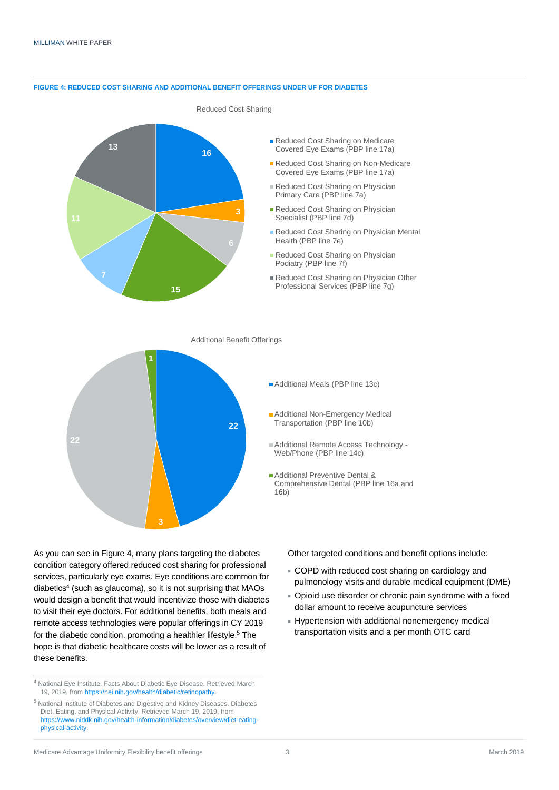#### **FIGURE 4: REDUCED COST SHARING AND ADDITIONAL BENEFIT OFFERINGS UNDER UF FOR DIABETES**



- Reduced Cost Sharing on Medicare Covered Eye Exams (PBP line 17a)
- Reduced Cost Sharing on Non-Medicare Covered Eye Exams (PBP line 17a)
- Reduced Cost Sharing on Physician Primary Care (PBP line 7a)
- Reduced Cost Sharing on Physician Specialist (PBP line 7d)
- Reduced Cost Sharing on Physician Mental Health (PBP line 7e)
- Reduced Cost Sharing on Physician Podiatry (PBP line 7f)
- Reduced Cost Sharing on Physician Other Professional Services (PBP line 7g)

Additional Benefit Offerings



- **Additional Meals (PBP line 13c)**
- **Additional Non-Emergency Medical** Transportation (PBP line 10b)
- Additional Remote Access Technology Web/Phone (PBP line 14c)
- **Additional Preventive Dental &** Comprehensive Dental (PBP line 16a and 16b)

As you can see in Figure 4, many plans targeting the diabetes condition category offered reduced cost sharing for professional services, particularly eye exams. Eye conditions are common for diabetics<sup>4</sup> (such as glaucoma), so it is not surprising that MAOs would design a benefit that would incentivize those with diabetes to visit their eye doctors. For additional benefits, both meals and remote access technologies were popular offerings in CY 2019 for the diabetic condition, promoting a healthier lifestyle.<sup>5</sup> The hope is that diabetic healthcare costs will be lower as a result of these benefits.

Other targeted conditions and benefit options include:

- COPD with reduced cost sharing on cardiology and pulmonology visits and durable medical equipment (DME)
- Opioid use disorder or chronic pain syndrome with a fixed dollar amount to receive acupuncture services
- Hypertension with additional nonemergency medical transportation visits and a per month OTC card

<sup>4</sup> National Eye Institute. Facts About Diabetic Eye Disease. Retrieved March 19, 2019, from https://nei.nih.gov/health/diabetic/retinopathy.

<sup>5</sup> National Institute of Diabetes and Digestive and Kidney Diseases. Diabetes Diet, Eating, and Physical Activity. Retrieved March 19, 2019, from https://www.niddk.nih.gov/health-information/diabetes/overview/diet-eatingphysical-activity.